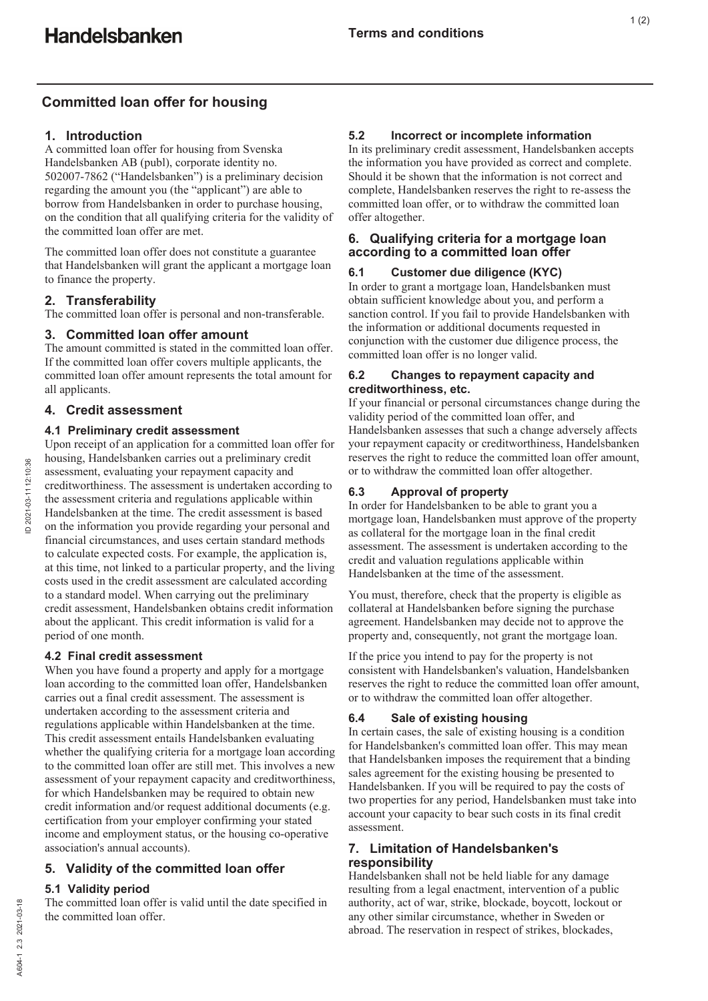# **Committed loan offer for housing**

# **1. Introduction**

A committed loan offer for housing from Svenska Handelsbanken AB (publ), corporate identity no. 502007-7862 ("Handelsbanken") is a preliminary decision regarding the amount you (the "applicant") are able to borrow from Handelsbanken in order to purchase housing, on the condition that all qualifying criteria for the validity of the committed loan offer are met.

The committed loan offer does not constitute a guarantee that Handelsbanken will grant the applicant a mortgage loan to finance the property.

# **2. Transferability**

The committed loan offer is personal and non-transferable.

# **3. Committed loan offer amount**

The amount committed is stated in the committed loan offer. If the committed loan offer covers multiple applicants, the committed loan offer amount represents the total amount for all applicants.

# **4. Credit assessment**

### **4.1 Preliminary credit assessment**

Upon receipt of an application for a committed loan offer for housing, Handelsbanken carries out a preliminary credit assessment, evaluating your repayment capacity and creditworthiness. The assessment is undertaken according to the assessment criteria and regulations applicable within Handelsbanken at the time. The credit assessment is based on the information you provide regarding your personal and financial circumstances, and uses certain standard methods to calculate expected costs. For example, the application is, at this time, not linked to a particular property, and the living costs used in the credit assessment are calculated according to a standard model. When carrying out the preliminary credit assessment, Handelsbanken obtains credit information about the applicant. This credit information is valid for a period of one month.

### **4.2 Final credit assessment**

When you have found a property and apply for a mortgage loan according to the committed loan offer, Handelsbanken carries out a final credit assessment. The assessment is undertaken according to the assessment criteria and regulations applicable within Handelsbanken at the time. This credit assessment entails Handelsbanken evaluating whether the qualifying criteria for a mortgage loan according to the committed loan offer are still met. This involves a new assessment of your repayment capacity and creditworthiness, for which Handelsbanken may be required to obtain new credit information and/or request additional documents (e.g. certification from your employer confirming your stated income and employment status, or the housing co-operative association's annual accounts).

# **5. Validity of the committed loan offer**

### **5.1 Validity period**

The committed loan offer is valid until the date specified in the committed loan offer.

# **5.2 Incorrect or incomplete information**

In its preliminary credit assessment, Handelsbanken accepts the information you have provided as correct and complete. Should it be shown that the information is not correct and complete, Handelsbanken reserves the right to re-assess the committed loan offer, or to withdraw the committed loan offer altogether.

### **6. Qualifying criteria for a mortgage loan according to a committed loan offer**

### **6.1 Customer due diligence (KYC)**

In order to grant a mortgage loan, Handelsbanken must obtain sufficient knowledge about you, and perform a sanction control. If you fail to provide Handelsbanken with the information or additional documents requested in conjunction with the customer due diligence process, the committed loan offer is no longer valid.

#### **6.2 Changes to repayment capacity and creditworthiness, etc.**

If your financial or personal circumstances change during the validity period of the committed loan offer, and Handelsbanken assesses that such a change adversely affects your repayment capacity or creditworthiness, Handelsbanken reserves the right to reduce the committed loan offer amount, or to withdraw the committed loan offer altogether.

# **6.3 Approval of property**

In order for Handelsbanken to be able to grant you a mortgage loan, Handelsbanken must approve of the property as collateral for the mortgage loan in the final credit assessment. The assessment is undertaken according to the credit and valuation regulations applicable within Handelsbanken at the time of the assessment.

You must, therefore, check that the property is eligible as collateral at Handelsbanken before signing the purchase agreement. Handelsbanken may decide not to approve the property and, consequently, not grant the mortgage loan.

If the price you intend to pay for the property is not consistent with Handelsbanken's valuation, Handelsbanken reserves the right to reduce the committed loan offer amount, or to withdraw the committed loan offer altogether.

### **6.4 Sale of existing housing**

In certain cases, the sale of existing housing is a condition for Handelsbanken's committed loan offer. This may mean that Handelsbanken imposes the requirement that a binding sales agreement for the existing housing be presented to Handelsbanken. If you will be required to pay the costs of two properties for any period, Handelsbanken must take into account your capacity to bear such costs in its final credit assessment.

# **7. Limitation of Handelsbanken's responsibility**

Handelsbanken shall not be held liable for any damage resulting from a legal enactment, intervention of a public authority, act of war, strike, blockade, boycott, lockout or any other similar circumstance, whether in Sweden or abroad. The reservation in respect of strikes, blockades,